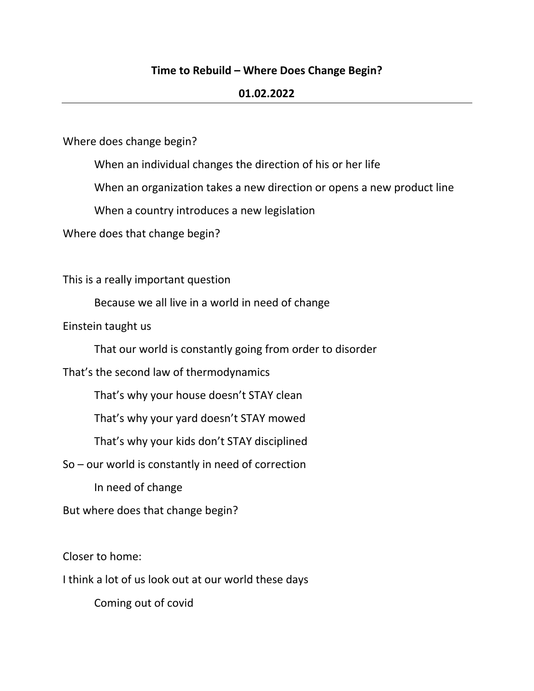### **Time to Rebuild – Where Does Change Begin?**

#### **01.02.2022**

Where does change begin?

When an individual changes the direction of his or her life

When an organization takes a new direction or opens a new product line

When a country introduces a new legislation

Where does that change begin?

This is a really important question

Because we all live in a world in need of change

Einstein taught us

That our world is constantly going from order to disorder

That's the second law of thermodynamics

That's why your house doesn't STAY clean

That's why your yard doesn't STAY mowed

That's why your kids don't STAY disciplined

So – our world is constantly in need of correction

In need of change

But where does that change begin?

Closer to home:

I think a lot of us look out at our world these days

Coming out of covid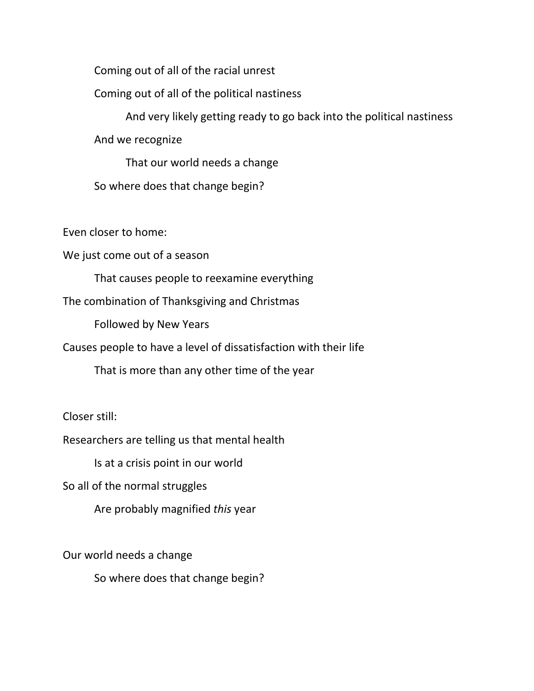Coming out of all of the racial unrest

Coming out of all of the political nastiness

And very likely getting ready to go back into the political nastiness

And we recognize

That our world needs a change

So where does that change begin?

Even closer to home:

We just come out of a season

That causes people to reexamine everything

The combination of Thanksgiving and Christmas

Followed by New Years

Causes people to have a level of dissatisfaction with their life

That is more than any other time of the year

Closer still:

Researchers are telling us that mental health

Is at a crisis point in our world

So all of the normal struggles

Are probably magnified *this* year

Our world needs a change

So where does that change begin?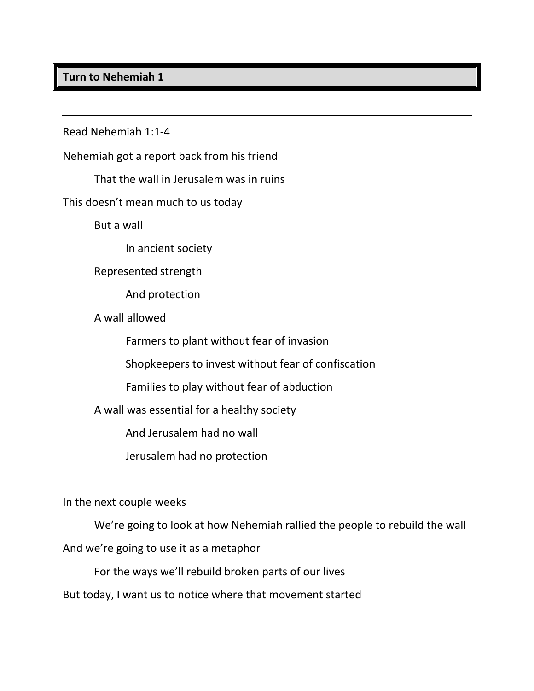## **Turn to Nehemiah 1**

Read Nehemiah 1:1-4

Nehemiah got a report back from his friend

That the wall in Jerusalem was in ruins

This doesn't mean much to us today

But a wall

In ancient society

Represented strength

And protection

A wall allowed

Farmers to plant without fear of invasion

Shopkeepers to invest without fear of confiscation

Families to play without fear of abduction

A wall was essential for a healthy society

And Jerusalem had no wall

Jerusalem had no protection

In the next couple weeks

We're going to look at how Nehemiah rallied the people to rebuild the wall

And we're going to use it as a metaphor

For the ways we'll rebuild broken parts of our lives

But today, I want us to notice where that movement started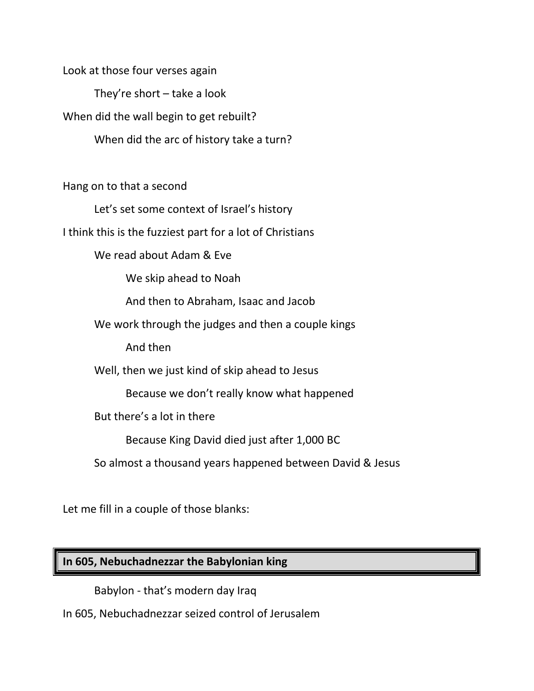They're short – take a look When did the wall begin to get rebuilt? When did the arc of history take a turn? Hang on to that a second Let's set some context of Israel's history I think this is the fuzziest part for a lot of Christians We read about Adam & Eve We skip ahead to Noah And then to Abraham, Isaac and Jacob We work through the judges and then a couple kings And then Well, then we just kind of skip ahead to Jesus Because we don't really know what happened But there's a lot in there Because King David died just after 1,000 BC So almost a thousand years happened between David & Jesus

Let me fill in a couple of those blanks:

Look at those four verses again

# **In 605, Nebuchadnezzar the Babylonian king**

Babylon - that's modern day Iraq

In 605, Nebuchadnezzar seized control of Jerusalem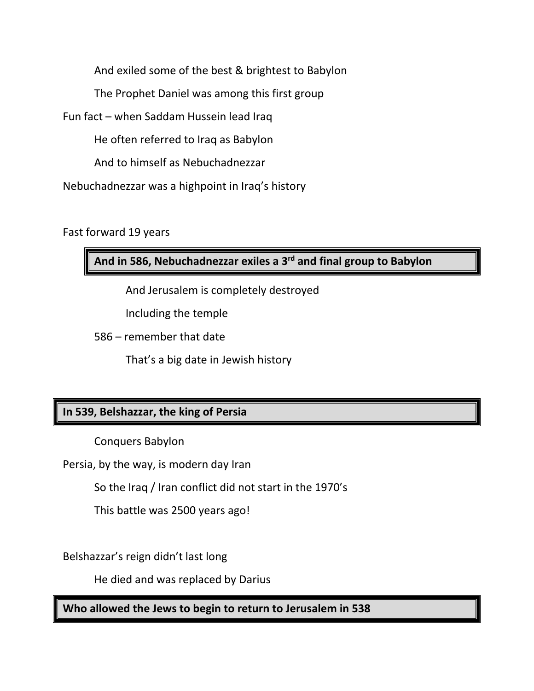And exiled some of the best & brightest to Babylon The Prophet Daniel was among this first group

Fun fact – when Saddam Hussein lead Iraq

He often referred to Iraq as Babylon

And to himself as Nebuchadnezzar

Nebuchadnezzar was a highpoint in Iraq's history

Fast forward 19 years

**And in 586, Nebuchadnezzar exiles a 3rd and final group to Babylon**

And Jerusalem is completely destroyed

Including the temple

586 – remember that date

That's a big date in Jewish history

## **In 539, Belshazzar, the king of Persia**

Conquers Babylon

Persia, by the way, is modern day Iran

So the Iraq / Iran conflict did not start in the 1970's

This battle was 2500 years ago!

Belshazzar's reign didn't last long

He died and was replaced by Darius

**Who allowed the Jews to begin to return to Jerusalem in 538**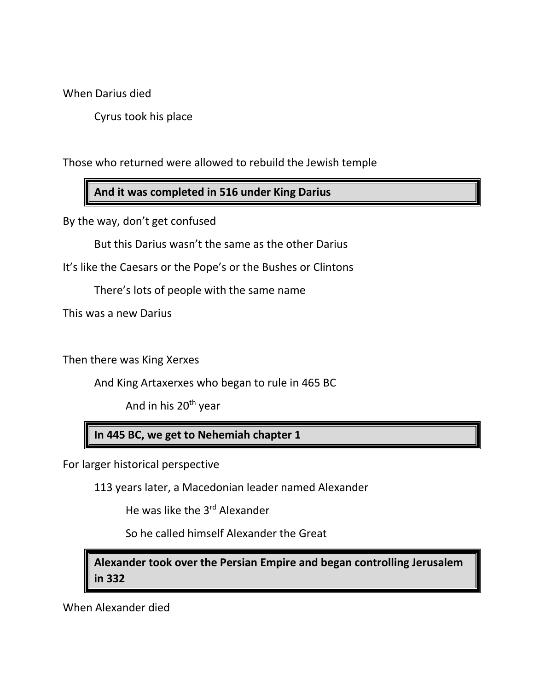When Darius died

Cyrus took his place

Those who returned were allowed to rebuild the Jewish temple

**And it was completed in 516 under King Darius**

By the way, don't get confused

But this Darius wasn't the same as the other Darius

It's like the Caesars or the Pope's or the Bushes or Clintons

There's lots of people with the same name

This was a new Darius

Then there was King Xerxes

And King Artaxerxes who began to rule in 465 BC

And in his 20<sup>th</sup> year

## **In 445 BC, we get to Nehemiah chapter 1**

For larger historical perspective

113 years later, a Macedonian leader named Alexander

He was like the 3<sup>rd</sup> Alexander

So he called himself Alexander the Great

**Alexander took over the Persian Empire and began controlling Jerusalem in 332**

When Alexander died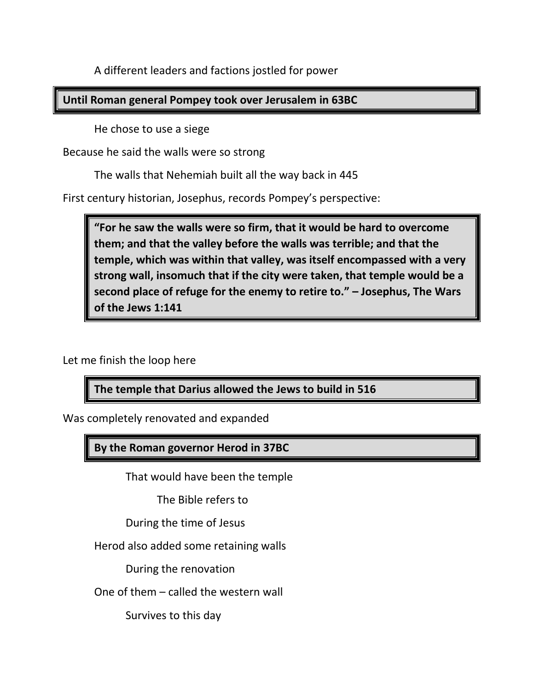A different leaders and factions jostled for power

## **Until Roman general Pompey took over Jerusalem in 63BC**

He chose to use a siege

Because he said the walls were so strong

The walls that Nehemiah built all the way back in 445

First century historian, Josephus, records Pompey's perspective:

**"For he saw the walls were so firm, that it would be hard to overcome them; and that the valley before the walls was terrible; and that the temple, which was within that valley, was itself encompassed with a very strong wall, insomuch that if the city were taken, that temple would be a second place of refuge for the enemy to retire to." – Josephus, The Wars of the Jews 1:141**

Let me finish the loop here

**The temple that Darius allowed the Jews to build in 516**

Was completely renovated and expanded

**By the Roman governor Herod in 37BC**

That would have been the temple

The Bible refers to

During the time of Jesus

Herod also added some retaining walls

During the renovation

One of them – called the western wall

Survives to this day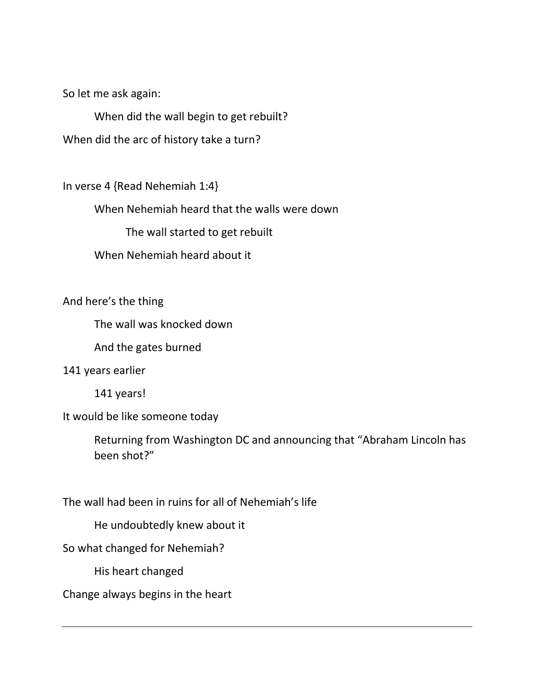So let me ask again:

When did the wall begin to get rebuilt?

When did the arc of history take a turn?

In verse 4 {Read Nehemiah 1:4}

When Nehemiah heard that the walls were down

The wall started to get rebuilt

When Nehemiah heard about it

And here's the thing

The wall was knocked down

And the gates burned

#### 141 years earlier

141 years!

It would be like someone today

Returning from Washington DC and announcing that "Abraham Lincoln has been shot?"

The wall had been in ruins for all of Nehemiah's life

He undoubtedly knew about it

So what changed for Nehemiah?

His heart changed

Change always begins in the heart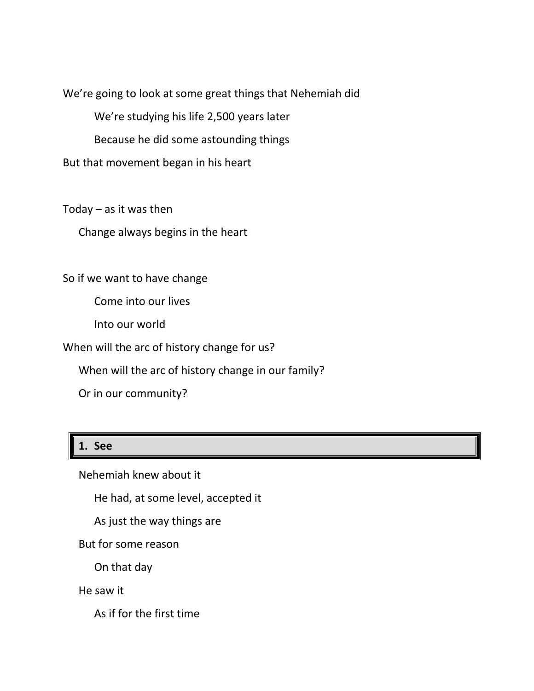We're going to look at some great things that Nehemiah did

We're studying his life 2,500 years later

Because he did some astounding things

But that movement began in his heart

Today – as it was then

Change always begins in the heart

So if we want to have change

Come into our lives

Into our world

When will the arc of history change for us?

When will the arc of history change in our family?

Or in our community?

## **1. See**

Nehemiah knew about it

He had, at some level, accepted it

As just the way things are

But for some reason

On that day

He saw it

As if for the first time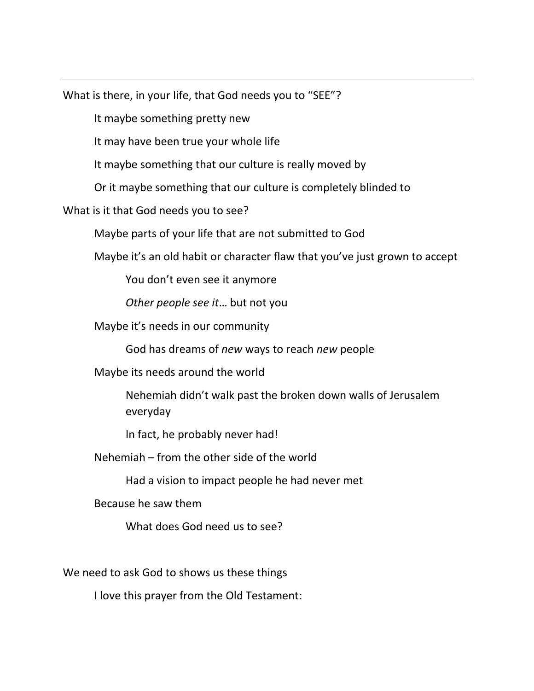What is there, in your life, that God needs you to "SEE"?

It maybe something pretty new

It may have been true your whole life

It maybe something that our culture is really moved by

Or it maybe something that our culture is completely blinded to

What is it that God needs you to see?

Maybe parts of your life that are not submitted to God

Maybe it's an old habit or character flaw that you've just grown to accept

You don't even see it anymore

*Other people see it*… but not you

Maybe it's needs in our community

God has dreams of *new* ways to reach *new* people

Maybe its needs around the world

Nehemiah didn't walk past the broken down walls of Jerusalem everyday

In fact, he probably never had!

Nehemiah – from the other side of the world

Had a vision to impact people he had never met

Because he saw them

What does God need us to see?

We need to ask God to shows us these things

I love this prayer from the Old Testament: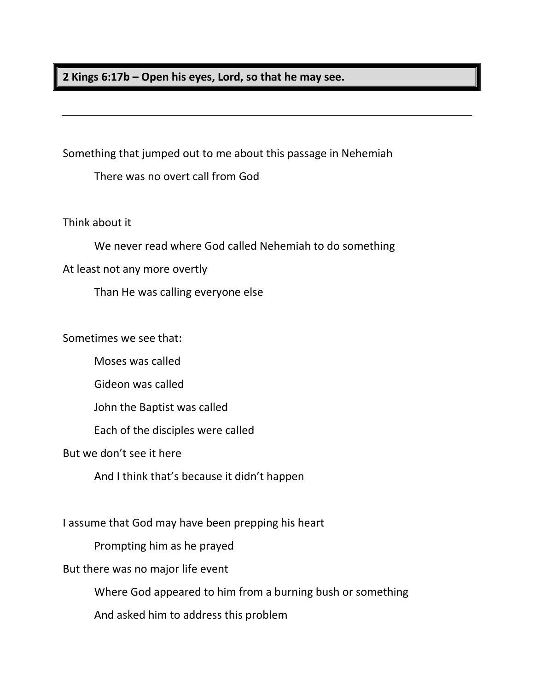**2 Kings 6:17b – Open his eyes, Lord, so that he may see.**

Something that jumped out to me about this passage in Nehemiah

There was no overt call from God

Think about it

We never read where God called Nehemiah to do something

At least not any more overtly

Than He was calling everyone else

Sometimes we see that:

Moses was called

Gideon was called

John the Baptist was called

Each of the disciples were called

But we don't see it here

And I think that's because it didn't happen

I assume that God may have been prepping his heart

Prompting him as he prayed

But there was no major life event

Where God appeared to him from a burning bush or something

And asked him to address this problem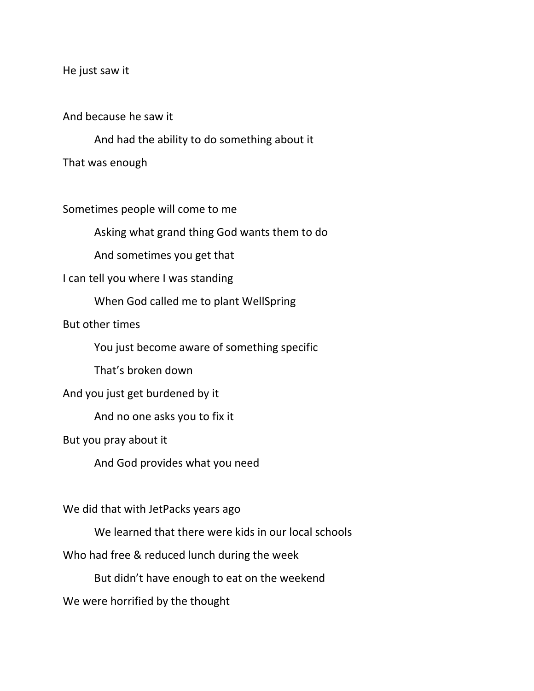He just saw it

And because he saw it

And had the ability to do something about it

That was enough

Sometimes people will come to me

Asking what grand thing God wants them to do

And sometimes you get that

I can tell you where I was standing

When God called me to plant WellSpring

But other times

You just become aware of something specific

That's broken down

And you just get burdened by it

And no one asks you to fix it

But you pray about it

And God provides what you need

We did that with JetPacks years ago

We learned that there were kids in our local schools

Who had free & reduced lunch during the week

But didn't have enough to eat on the weekend

We were horrified by the thought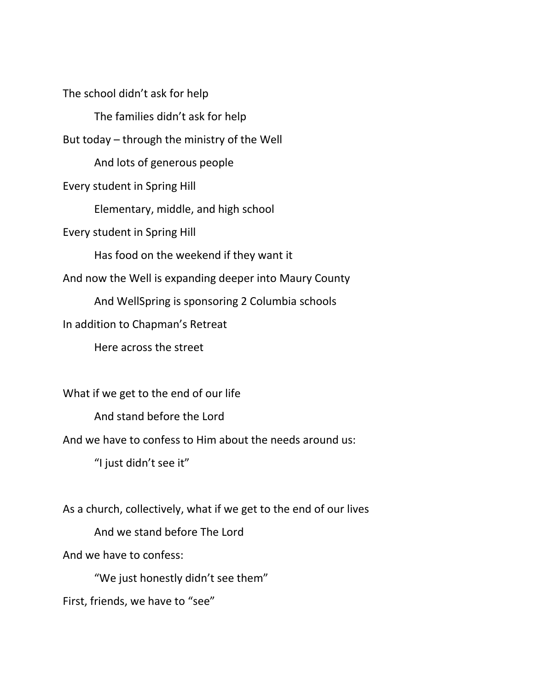The school didn't ask for help The families didn't ask for help But today – through the ministry of the Well And lots of generous people Every student in Spring Hill Elementary, middle, and high school Every student in Spring Hill Has food on the weekend if they want it And now the Well is expanding deeper into Maury County And WellSpring is sponsoring 2 Columbia schools In addition to Chapman's Retreat Here across the street What if we get to the end of our life And stand before the Lord

And we have to confess to Him about the needs around us:

"I just didn't see it"

As a church, collectively, what if we get to the end of our lives

And we stand before The Lord

And we have to confess:

"We just honestly didn't see them"

First, friends, we have to "see"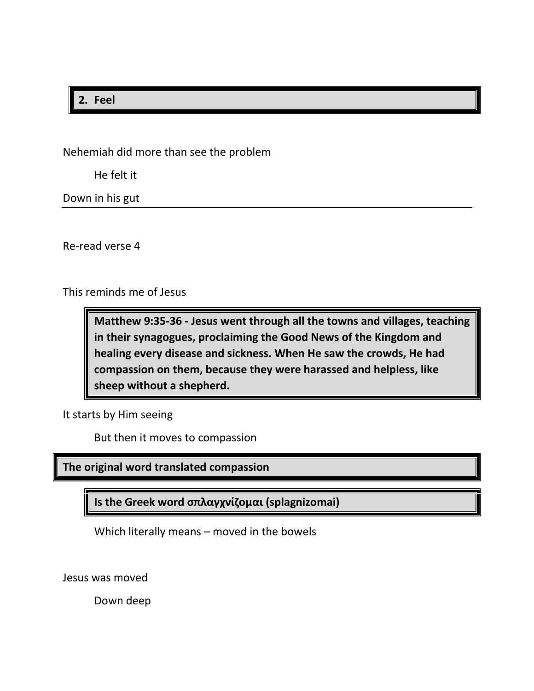## **2. Feel**

Nehemiah did more than see the problem

He felt it

Down in his gut

Re-read verse 4

This reminds me of Jesus

**Matthew 9:35-36 - Jesus went through all the towns and villages, teaching in their synagogues, proclaiming the Good News of the Kingdom and healing every disease and sickness. When He saw the crowds, He had compassion on them, because they were harassed and helpless, like sheep without a shepherd.**

It starts by Him seeing

But then it moves to compassion

**The original word translated compassion**

**Is the Greek word σπλαγχνίζομαι (splagnizomai)**

Which literally means – moved in the bowels

Jesus was moved

Down deep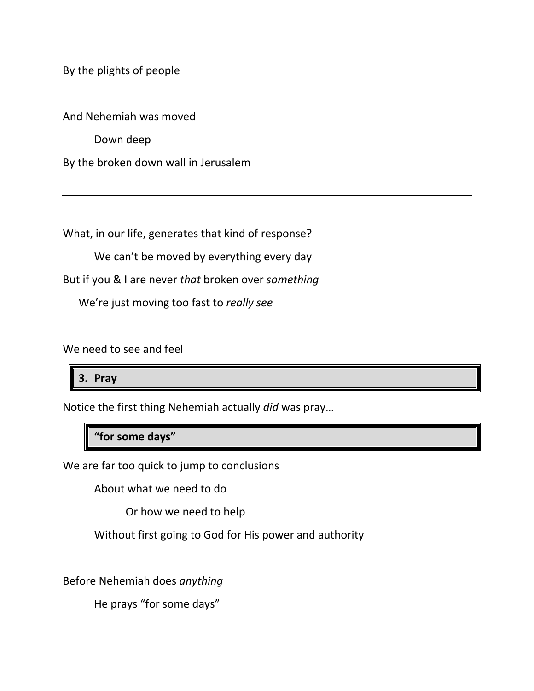By the plights of people

And Nehemiah was moved

Down deep

By the broken down wall in Jerusalem

What, in our life, generates that kind of response?

We can't be moved by everything every day

But if you & I are never *that* broken over *something*

We're just moving too fast to *really see*

We need to see and feel

**3. Pray**

Notice the first thing Nehemiah actually *did* was pray…

**"for some days"**

We are far too quick to jump to conclusions

About what we need to do

Or how we need to help

Without first going to God for His power and authority

Before Nehemiah does *anything*

He prays "for some days"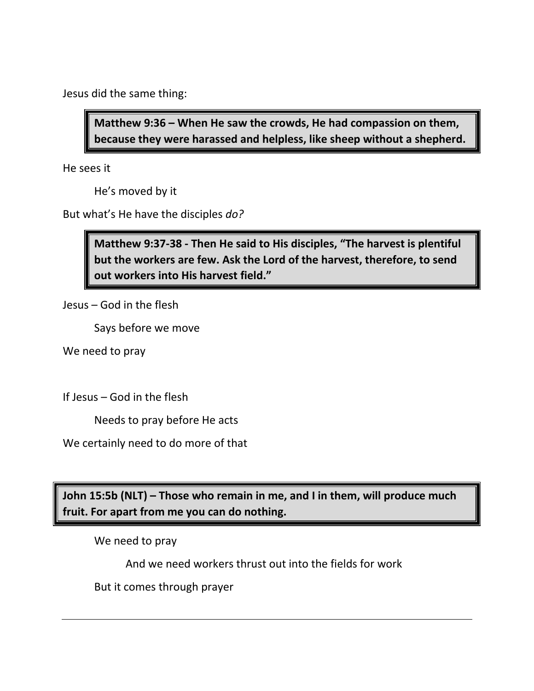Jesus did the same thing:

**Matthew 9:36 – When He saw the crowds, He had compassion on them, because they were harassed and helpless, like sheep without a shepherd.** 

He sees it

He's moved by it

But what's He have the disciples *do?*

**Matthew 9:37-38 - Then He said to His disciples, "The harvest is plentiful but the workers are few. Ask the Lord of the harvest, therefore, to send out workers into His harvest field."**

Jesus – God in the flesh

Says before we move

We need to pray

If Jesus – God in the flesh

Needs to pray before He acts

We certainly need to do more of that

**John 15:5b (NLT) – Those who remain in me, and I in them, will produce much fruit. For apart from me you can do nothing.**

We need to pray

And we need workers thrust out into the fields for work

But it comes through prayer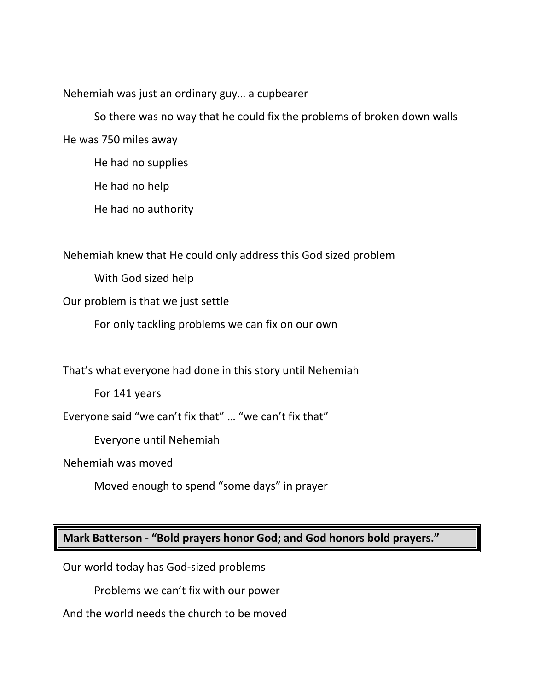Nehemiah was just an ordinary guy… a cupbearer

So there was no way that he could fix the problems of broken down walls He was 750 miles away

He had no supplies

He had no help

He had no authority

Nehemiah knew that He could only address this God sized problem

With God sized help

Our problem is that we just settle

For only tackling problems we can fix on our own

That's what everyone had done in this story until Nehemiah

For 141 years

Everyone said "we can't fix that" … "we can't fix that"

Everyone until Nehemiah

Nehemiah was moved

Moved enough to spend "some days" in prayer

## **Mark Batterson - "Bold prayers honor God; and God honors bold prayers."**

Our world today has God-sized problems

Problems we can't fix with our power

And the world needs the church to be moved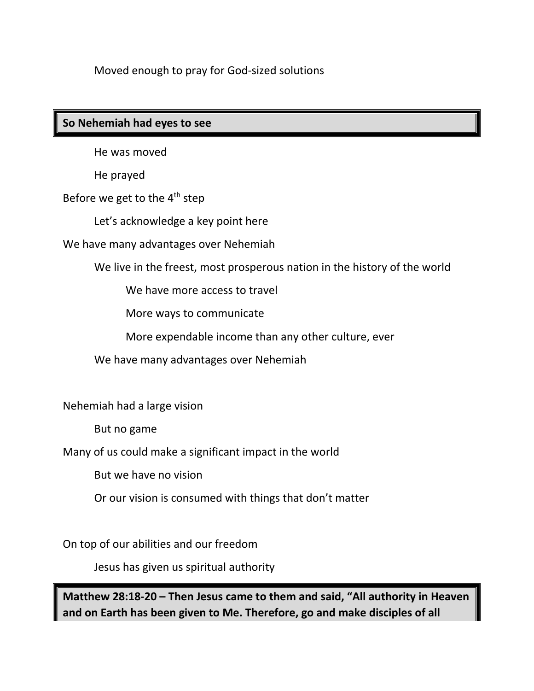Moved enough to pray for God-sized solutions

## **So Nehemiah had eyes to see**

He was moved

He prayed

Before we get to the 4<sup>th</sup> step

Let's acknowledge a key point here

We have many advantages over Nehemiah

We live in the freest, most prosperous nation in the history of the world

We have more access to travel

More ways to communicate

More expendable income than any other culture, ever

We have many advantages over Nehemiah

Nehemiah had a large vision

But no game

Many of us could make a significant impact in the world

But we have no vision

Or our vision is consumed with things that don't matter

On top of our abilities and our freedom

Jesus has given us spiritual authority

**Matthew 28:18-20 – Then Jesus came to them and said, "All authority in Heaven and on Earth has been given to Me. Therefore, go and make disciples of all**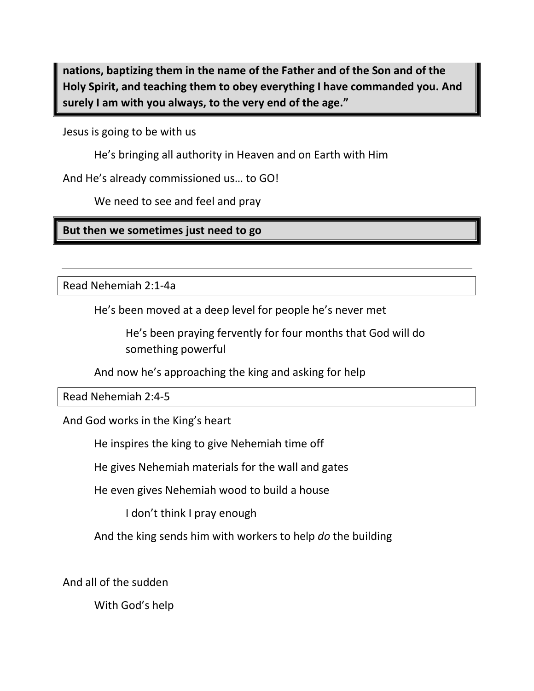**nations, baptizing them in the name of the Father and of the Son and of the Holy Spirit, and teaching them to obey everything I have commanded you. And surely I am with you always, to the very end of the age."**

Jesus is going to be with us

He's bringing all authority in Heaven and on Earth with Him

And He's already commissioned us… to GO!

We need to see and feel and pray

**But then we sometimes just need to go** 

Read Nehemiah 2:1-4a

He's been moved at a deep level for people he's never met

He's been praying fervently for four months that God will do something powerful

And now he's approaching the king and asking for help

Read Nehemiah 2:4-5

And God works in the King's heart

He inspires the king to give Nehemiah time off

He gives Nehemiah materials for the wall and gates

He even gives Nehemiah wood to build a house

I don't think I pray enough

And the king sends him with workers to help *do* the building

And all of the sudden

With God's help